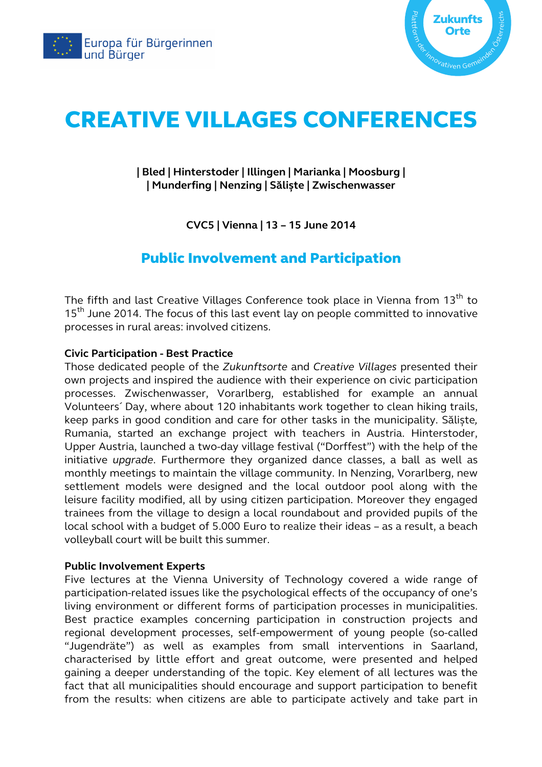



# CREATIVE VILLAGES CONFERENCES

# **| Bled | Hinterstoder | Illingen | Marianka | Moosburg | | Munderfing | Nenzing | Săliște | Zwischenwasser**

**CVC5 | Vienna | 13 – 15 June 2014** 

# Public Involvement and Participation

The fifth and last Creative Villages Conference took place in Vienna from 13<sup>th</sup> to 15<sup>th</sup> June 2014. The focus of this last event lay on people committed to innovative processes in rural areas: involved citizens.

## **Civic Participation - Best Practice**

Those dedicated people of the *Zukunftsorte* and *Creative Villages* presented their own projects and inspired the audience with their experience on civic participation processes. Zwischenwasser, Vorarlberg, established for example an annual Volunteers´ Day, where about 120 inhabitants work together to clean hiking trails, keep parks in good condition and care for other tasks in the municipality. Săliște*,* Rumania, started an exchange project with teachers in Austria. Hinterstoder, Upper Austria, launched a two-day village festival ("Dorffest") with the help of the initiative *upgrade*. Furthermore they organized dance classes, a ball as well as monthly meetings to maintain the village community. In Nenzing, Vorarlberg, new settlement models were designed and the local outdoor pool along with the leisure facility modified, all by using citizen participation. Moreover they engaged trainees from the village to design a local roundabout and provided pupils of the local school with a budget of 5.000 Euro to realize their ideas – as a result, a beach volleyball court will be built this summer.

#### **Public Involvement Experts**

Five lectures at the Vienna University of Technology covered a wide range of participation-related issues like the psychological effects of the occupancy of one's living environment or different forms of participation processes in municipalities. Best practice examples concerning participation in construction projects and regional development processes, self-empowerment of young people (so-called "Jugendräte") as well as examples from small interventions in Saarland, characterised by little effort and great outcome, were presented and helped gaining a deeper understanding of the topic. Key element of all lectures was the fact that all municipalities should encourage and support participation to benefit from the results: when citizens are able to participate actively and take part in